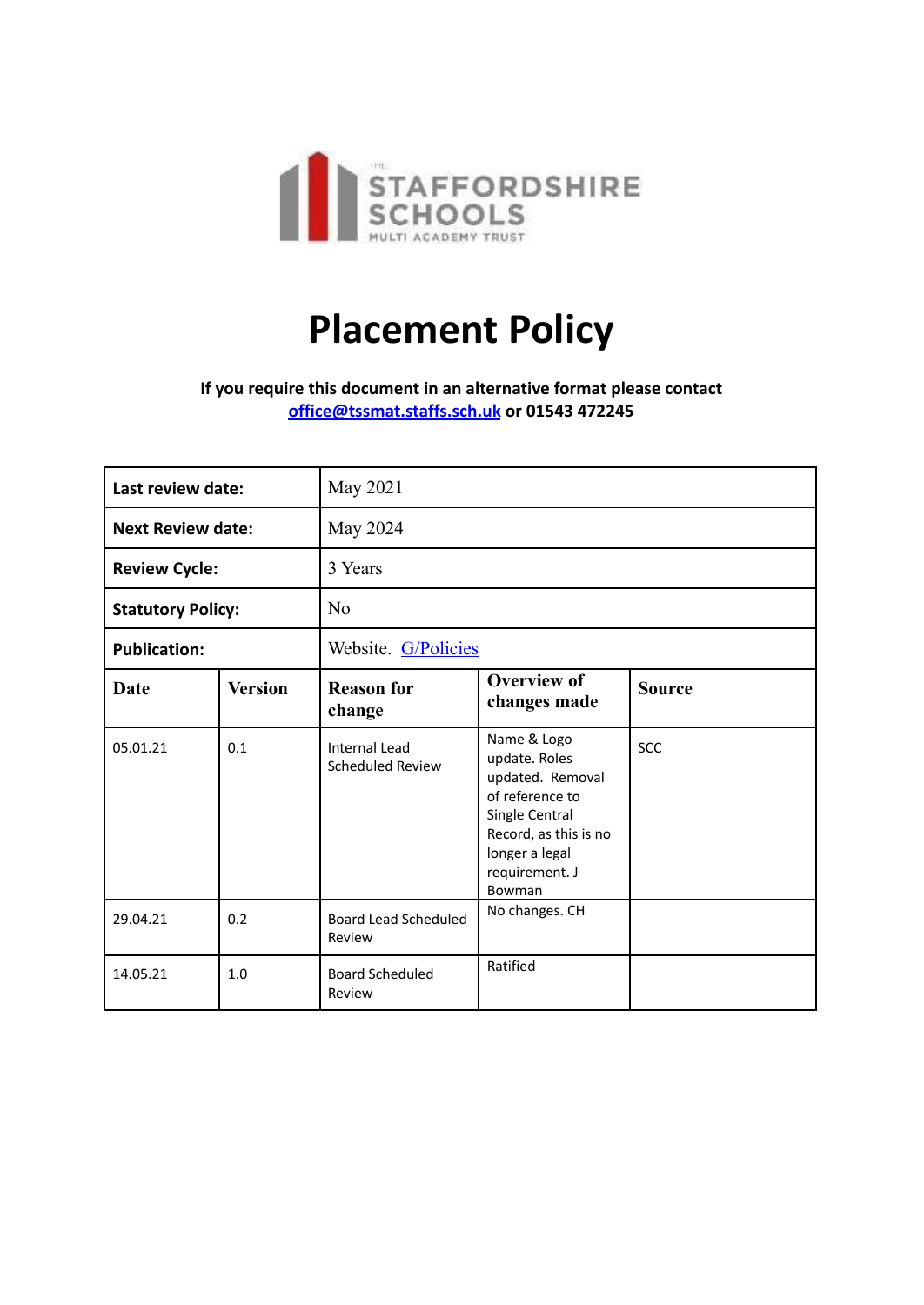

## **Placement Policy**

**If you require this document in an alternative format please contact [office@tssmat.staffs.sch.uk](mailto:office@tssmat.staffs.sch.uk) or 01543 472245**

| Last review date:        |                | May 2021                                 |                                                                                                                                                              |               |
|--------------------------|----------------|------------------------------------------|--------------------------------------------------------------------------------------------------------------------------------------------------------------|---------------|
| <b>Next Review date:</b> |                | May 2024                                 |                                                                                                                                                              |               |
| <b>Review Cycle:</b>     |                | 3 Years                                  |                                                                                                                                                              |               |
| <b>Statutory Policy:</b> |                | N <sub>o</sub>                           |                                                                                                                                                              |               |
| <b>Publication:</b>      |                | Website. G/Policies                      |                                                                                                                                                              |               |
| Date                     | <b>Version</b> | <b>Reason for</b><br>change              | <b>Overview of</b><br>changes made                                                                                                                           | <b>Source</b> |
| 05.01.21                 | 0.1            | <b>Internal Lead</b><br>Scheduled Review | Name & Logo<br>update. Roles<br>updated. Removal<br>of reference to<br>Single Central<br>Record, as this is no<br>longer a legal<br>requirement. J<br>Bowman | SCC           |
| 29.04.21                 | 0.2            | <b>Board Lead Scheduled</b><br>Review    | No changes. CH                                                                                                                                               |               |
| 14.05.21                 | 1.0            | <b>Board Scheduled</b><br>Review         | Ratified                                                                                                                                                     |               |